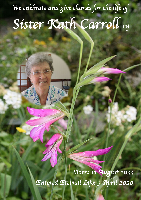# *We celebrate and give thanks for the life of Sister Kath Carroll rsj*

*Born: 11 August 1933 Entered Eternal Life: 9 April 2020*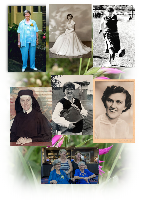









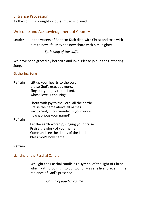### Entrance Procession

As the coffin is brought in, quiet music is played.

### Welcome and Acknowledgement of Country

**Leader** In the waters of Baptism Kath died with Christ and rose with him to new life. May she now share with him in glory.

### *Sprinkling of the coffin*

We have been graced by her faith and love. Please join in the Gathering Song.

### Gathering Song

**Refrain**Lift up your hearts to the Lord, praise God's gracious mercy! Sing out your joy to the Lord, whose love is enduring.

> Shout with joy to the Lord, all the earth! Praise the name above all names! Say to God, "How wondrous your works, how glorious your name!"

### **Refrain**

Let the earth worship, singing your praise. Praise the glory of your name! Come and see the deeds of the Lord, bless God's holy name!

### **Refrain**

### Lighting of the Paschal Candle

We light the Paschal candle as a symbol of the light of Christ, which Kath brought into our world. May she live forever in the radiance of God's presence.

*Lighting of paschal candle*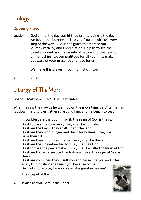# Eulogy

## **Opening Prayer**

Leader God of life, the day you birthed us into being is the day we beganour journey back to you. You are with us every step of the way. Give us the grace to embrace our journey with joy and appreciation. Help us to see the beauty around us - the beauty of nature and the beauty of friendships. Let our gratitude for all your gifts make us aware of your presence and love for us.

We make this prayer through Christ our Lord.

**All**Amen

# Liturgy of The Word

### **Gospel: Matthew 5: 1-2 The Beatitudes**

When he saw the crowds he went up on the mountainside. After he had sat down his disciples gathered around him, and he began to teach.

"How blest are the poor in spirit: the reign of God is theirs.

Blest too are the sorrowing: they shall be consoled.

Blest are the lowly: they shall inherit the land.

Blest are they who hunger and thirst for holiness: they shall have their fill.

Blest are they who show mercy: mercy shall be theirs.

Blest are the single-hearted for they shall see God.

Blest too are the peacemakers: they shall be called children of God. Blest are those persecuted for holiness' sake: the reign of God is theirs.

Blest are you when they insult you and persecute you and utter every kind of slander against you because of me.

Be glad and rejoice, for your reward is great in heaven".

The Gospel of the Lord.



**All** Praise to you, Lord Jesus Christ.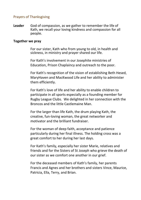### Prayers of Thanksgiving

**Leader** God of compassion, as we gather to remember the life of Kath, we recall your loving kindness and compassion for all people.

### **Together we pray**

For our sister, Kath who from young to old, in health and sickness, in ministry and prayer shared our life.

For Kath's involvement in our Josephite ministries of Education, Prison Chaplaincy and outreach to the poor.

For Kath's recognition of the vision of establishing Beth Hesed, MaryHaven and MacKwood Life and her ability to administer them efficiently.

For Kath's love of life and her ability to enable children to participate in all sports especially as a founding member for Rugby League Clubs. We delighted in her connection with the Broncos and the little Castlemaine Man.

For the larger than life Kath, the drum playing Kath, the creative, fun-loving woman, the great networker and motivator and the brilliant fundraiser.

For the woman of deep faith, acceptance and patience particularly during her final illness. The holding cross was a great comfort to her during her last days.

For Kath's family, especially her sister Marie, relatives and friends and for the Sisters of St Joseph who grieve the death of our sister as we comfort one another in our grief.

For the deceased members of Kath's family, her parents Francis and Agnes and her brothers and sisters Vince, Maurice, Patricia, Ella, Terry, and Brian.